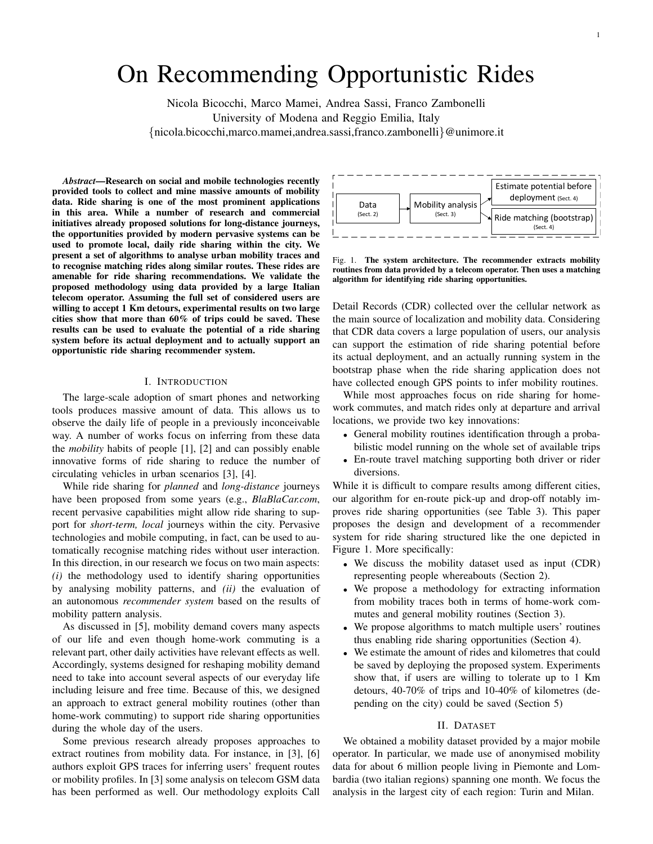# On Recommending Opportunistic Rides

Nicola Bicocchi, Marco Mamei, Andrea Sassi, Franco Zambonelli University of Modena and Reggio Emilia, Italy {nicola.bicocchi,marco.mamei,andrea.sassi,franco.zambonelli}@unimore.it

*Abstract*—Research on social and mobile technologies recently provided tools to collect and mine massive amounts of mobility data. Ride sharing is one of the most prominent applications in this area. While a number of research and commercial initiatives already proposed solutions for long-distance journeys, the opportunities provided by modern pervasive systems can be used to promote local, daily ride sharing within the city. We present a set of algorithms to analyse urban mobility traces and to recognise matching rides along similar routes. These rides are amenable for ride sharing recommendations. We validate the proposed methodology using data provided by a large Italian telecom operator. Assuming the full set of considered users are willing to accept 1 Km detours, experimental results on two large cities show that more than 60% of trips could be saved. These results can be used to evaluate the potential of a ride sharing system before its actual deployment and to actually support an opportunistic ride sharing recommender system.

#### I. INTRODUCTION

The large-scale adoption of smart phones and networking tools produces massive amount of data. This allows us to observe the daily life of people in a previously inconceivable way. A number of works focus on inferring from these data the *mobility* habits of people [1], [2] and can possibly enable innovative forms of ride sharing to reduce the number of circulating vehicles in urban scenarios [3], [4].

While ride sharing for *planned* and *long-distance* journeys have been proposed from some years (e.g., *BlaBlaCar.com*, recent pervasive capabilities might allow ride sharing to support for *short-term, local* journeys within the city. Pervasive technologies and mobile computing, in fact, can be used to automatically recognise matching rides without user interaction. In this direction, in our research we focus on two main aspects: *(i)* the methodology used to identify sharing opportunities by analysing mobility patterns, and *(ii)* the evaluation of an autonomous *recommender system* based on the results of mobility pattern analysis.

As discussed in [5], mobility demand covers many aspects of our life and even though home-work commuting is a relevant part, other daily activities have relevant effects as well. Accordingly, systems designed for reshaping mobility demand need to take into account several aspects of our everyday life including leisure and free time. Because of this, we designed an approach to extract general mobility routines (other than home-work commuting) to support ride sharing opportunities during the whole day of the users.

Some previous research already proposes approaches to extract routines from mobility data. For instance, in [3], [6] authors exploit GPS traces for inferring users' frequent routes or mobility profiles. In [3] some analysis on telecom GSM data has been performed as well. Our methodology exploits Call



Fig. 1. The system architecture. The recommender extracts mobility routines from data provided by a telecom operator. Then uses a matching algorithm for identifying ride sharing opportunities.

Detail Records (CDR) collected over the cellular network as the main source of localization and mobility data. Considering that CDR data covers a large population of users, our analysis can support the estimation of ride sharing potential before its actual deployment, and an actually running system in the bootstrap phase when the ride sharing application does not have collected enough GPS points to infer mobility routines.

While most approaches focus on ride sharing for homework commutes, and match rides only at departure and arrival locations, we provide two key innovations:

- General mobility routines identification through a probabilistic model running on the whole set of available trips
- En-route travel matching supporting both driver or rider diversions.

While it is difficult to compare results among different cities, our algorithm for en-route pick-up and drop-off notably improves ride sharing opportunities (see Table 3). This paper proposes the design and development of a recommender system for ride sharing structured like the one depicted in Figure 1. More specifically:

- We discuss the mobility dataset used as input (CDR) representing people whereabouts (Section 2).
- We propose a methodology for extracting information from mobility traces both in terms of home-work commutes and general mobility routines (Section 3).
- We propose algorithms to match multiple users' routines thus enabling ride sharing opportunities (Section 4).
- We estimate the amount of rides and kilometres that could be saved by deploying the proposed system. Experiments show that, if users are willing to tolerate up to 1 Km detours, 40-70% of trips and 10-40% of kilometres (depending on the city) could be saved (Section 5)

## II. DATASET

We obtained a mobility dataset provided by a major mobile operator. In particular, we made use of anonymised mobility data for about 6 million people living in Piemonte and Lombardia (two italian regions) spanning one month. We focus the analysis in the largest city of each region: Turin and Milan.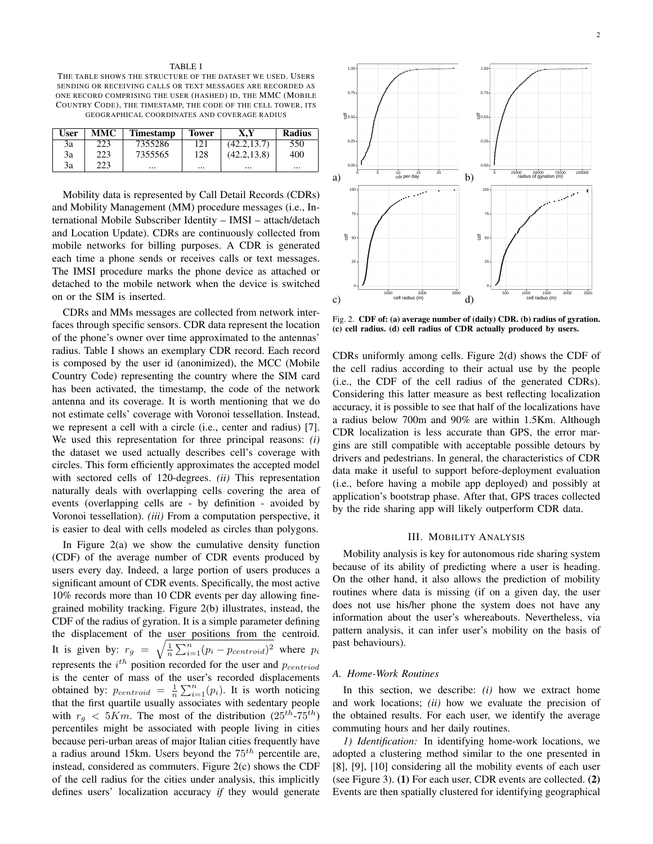#### TABLE I

THE TABLE SHOWS THE STRUCTURE OF THE DATASET WE USED. USERS SENDING OR RECEIVING CALLS OR TEXT MESSAGES ARE RECORDED AS ONE RECORD COMPRISING THE USER (HASHED) ID, THE MMC (MOBILE COUNTRY CODE), THE TIMESTAMP, THE CODE OF THE CELL TOWER, ITS GEOGRAPHICAL COORDINATES AND COVERAGE RADIUS

| User | <b>MMC</b> | <b>Timestamp</b> | <b>Tower</b> | X.Y          | <b>Radius</b> |
|------|------------|------------------|--------------|--------------|---------------|
| 3a   | 223        | 7355286          | 121          | (42.2, 13.7) | 550           |
| 3a   | 223        | 7355565          | 128          | (42.2, 13.8) | 400           |
| 3a   | 223        | $\cdots$         | $\cdots$     |              | $\cdots$      |

Mobility data is represented by Call Detail Records (CDRs) and Mobility Management (MM) procedure messages (i.e., International Mobile Subscriber Identity – IMSI – attach/detach and Location Update). CDRs are continuously collected from mobile networks for billing purposes. A CDR is generated each time a phone sends or receives calls or text messages. The IMSI procedure marks the phone device as attached or detached to the mobile network when the device is switched on or the SIM is inserted.

CDRs and MMs messages are collected from network interfaces through specific sensors. CDR data represent the location of the phone's owner over time approximated to the antennas' radius. Table I shows an exemplary CDR record. Each record is composed by the user id (anonimized), the MCC (Mobile Country Code) representing the country where the SIM card has been activated, the timestamp, the code of the network antenna and its coverage. It is worth mentioning that we do not estimate cells' coverage with Voronoi tessellation. Instead, we represent a cell with a circle (i.e., center and radius) [7]. We used this representation for three principal reasons: *(i)* the dataset we used actually describes cell's coverage with circles. This form efficiently approximates the accepted model with sectored cells of 120-degrees. *(ii)* This representation naturally deals with overlapping cells covering the area of events (overlapping cells are - by definition - avoided by Voronoi tessellation). *(iii)* From a computation perspective, it is easier to deal with cells modeled as circles than polygons.

In Figure 2(a) we show the cumulative density function (CDF) of the average number of CDR events produced by users every day. Indeed, a large portion of users produces a significant amount of CDR events. Specifically, the most active 10% records more than 10 CDR events per day allowing finegrained mobility tracking. Figure 2(b) illustrates, instead, the CDF of the radius of gyration. It is a simple parameter defining the displacement of the user positions from the centroid. It is given by:  $r_g = \sqrt{\frac{1}{n} \sum_{i=1}^{n} (p_i - p_{centroid})^2}$  where  $p_i$ represents the  $i^{th}$  position recorded for the user and  $p_{centroid}$ is the center of mass of the user's recorded displacements obtained by:  $p_{centroid} = \frac{1}{n} \sum_{i=1}^{n} (p_i)$ . It is worth noticing that the first quartile usually associates with sedentary people with  $r_g < 5Km$ . The most of the distribution  $(25^{th} - 75^{th})$ percentiles might be associated with people living in cities because peri-urban areas of major Italian cities frequently have a radius around 15km. Users beyond the  $75<sup>th</sup>$  percentile are, instead, considered as commuters. Figure 2(c) shows the CDF of the cell radius for the cities under analysis, this implicitly defines users' localization accuracy *if* they would generate



Fig. 2. CDF of: (a) average number of (daily) CDR. (b) radius of gyration. (c) cell radius. (d) cell radius of CDR actually produced by users.

CDRs uniformly among cells. Figure 2(d) shows the CDF of the cell radius according to their actual use by the people (i.e., the CDF of the cell radius of the generated CDRs). Considering this latter measure as best reflecting localization accuracy, it is possible to see that half of the localizations have a radius below 700m and 90% are within 1.5Km. Although CDR localization is less accurate than GPS, the error margins are still compatible with acceptable possible detours by drivers and pedestrians. In general, the characteristics of CDR data make it useful to support before-deployment evaluation (i.e., before having a mobile app deployed) and possibly at application's bootstrap phase. After that, GPS traces collected by the ride sharing app will likely outperform CDR data.

#### III. MOBILITY ANALYSIS

Mobility analysis is key for autonomous ride sharing system because of its ability of predicting where a user is heading. On the other hand, it also allows the prediction of mobility routines where data is missing (if on a given day, the user does not use his/her phone the system does not have any information about the user's whereabouts. Nevertheless, via pattern analysis, it can infer user's mobility on the basis of past behaviours).

## *A. Home-Work Routines*

In this section, we describe: *(i)* how we extract home and work locations; *(ii)* how we evaluate the precision of the obtained results. For each user, we identify the average commuting hours and her daily routines.

*1) Identification:* In identifying home-work locations, we adopted a clustering method similar to the one presented in [8], [9], [10] considering all the mobility events of each user (see Figure 3). (1) For each user, CDR events are collected. (2) Events are then spatially clustered for identifying geographical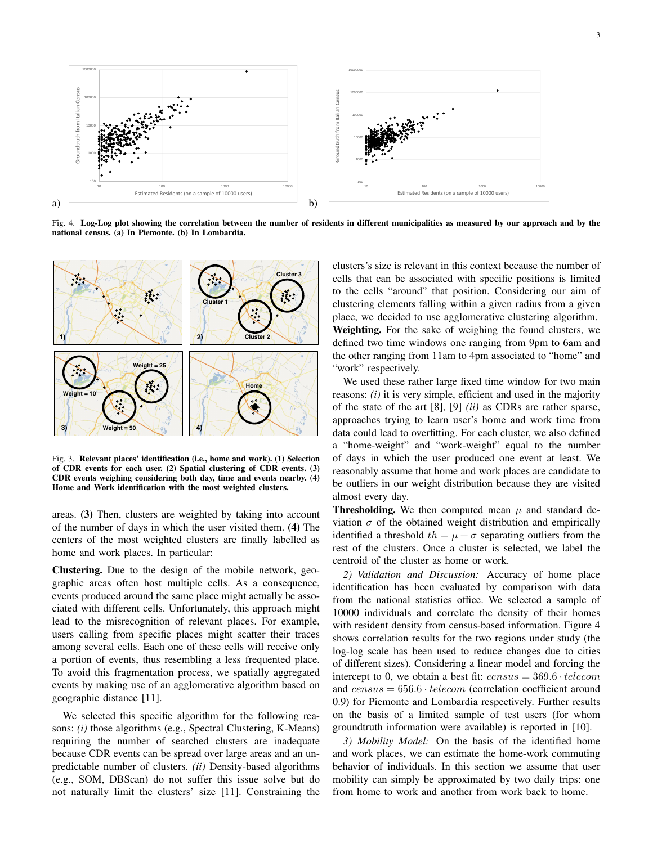

Fig. 4. Log-Log plot showing the correlation between the number of residents in different municipalities as measured by our approach and by the national census. (a) In Piemonte. (b) In Lombardia.



Fig. 3. Relevant places' identification (i.e., home and work). (1) Selection of CDR events for each user. (2) Spatial clustering of CDR events. (3) CDR events weighing considering both day, time and events nearby. (4) Home and Work identification with the most weighted clusters.

areas. (3) Then, clusters are weighted by taking into account of the number of days in which the user visited them. (4) The centers of the most weighted clusters are finally labelled as home and work places. In particular:

Clustering. Due to the design of the mobile network, geographic areas often host multiple cells. As a consequence, events produced around the same place might actually be associated with different cells. Unfortunately, this approach might lead to the misrecognition of relevant places. For example, users calling from specific places might scatter their traces among several cells. Each one of these cells will receive only a portion of events, thus resembling a less frequented place. To avoid this fragmentation process, we spatially aggregated events by making use of an agglomerative algorithm based on geographic distance [11].

We selected this specific algorithm for the following reasons: *(i)* those algorithms (e.g., Spectral Clustering, K-Means) requiring the number of searched clusters are inadequate because CDR events can be spread over large areas and an unpredictable number of clusters. *(ii)* Density-based algorithms (e.g., SOM, DBScan) do not suffer this issue solve but do not naturally limit the clusters' size [11]. Constraining the

clusters's size is relevant in this context because the number of cells that can be associated with specific positions is limited to the cells "around" that position. Considering our aim of clustering elements falling within a given radius from a given place, we decided to use agglomerative clustering algorithm. Weighting. For the sake of weighing the found clusters, we defined two time windows one ranging from 9pm to 6am and the other ranging from 11am to 4pm associated to "home" and "work" respectively.

We used these rather large fixed time window for two main reasons: *(i)* it is very simple, efficient and used in the majority of the state of the art [8], [9] *(ii)* as CDRs are rather sparse, approaches trying to learn user's home and work time from data could lead to overfitting. For each cluster, we also defined a "home-weight" and "work-weight" equal to the number of days in which the user produced one event at least. We reasonably assume that home and work places are candidate to be outliers in our weight distribution because they are visited almost every day.

**Thresholding.** We then computed mean  $\mu$  and standard deviation  $\sigma$  of the obtained weight distribution and empirically identified a threshold  $th = \mu + \sigma$  separating outliers from the rest of the clusters. Once a cluster is selected, we label the centroid of the cluster as home or work.

*2) Validation and Discussion:* Accuracy of home place identification has been evaluated by comparison with data from the national statistics office. We selected a sample of 10000 individuals and correlate the density of their homes with resident density from census-based information. Figure 4 shows correlation results for the two regions under study (the log-log scale has been used to reduce changes due to cities of different sizes). Considering a linear model and forcing the intercept to 0, we obtain a best fit:  $census = 369.6 \cdot telescope$ and  $census = 656.6 \cdot telephone$  (correlation coefficient around 0.9) for Piemonte and Lombardia respectively. Further results on the basis of a limited sample of test users (for whom groundtruth information were available) is reported in [10].

*3) Mobility Model:* On the basis of the identified home and work places, we can estimate the home-work commuting behavior of individuals. In this section we assume that user mobility can simply be approximated by two daily trips: one from home to work and another from work back to home.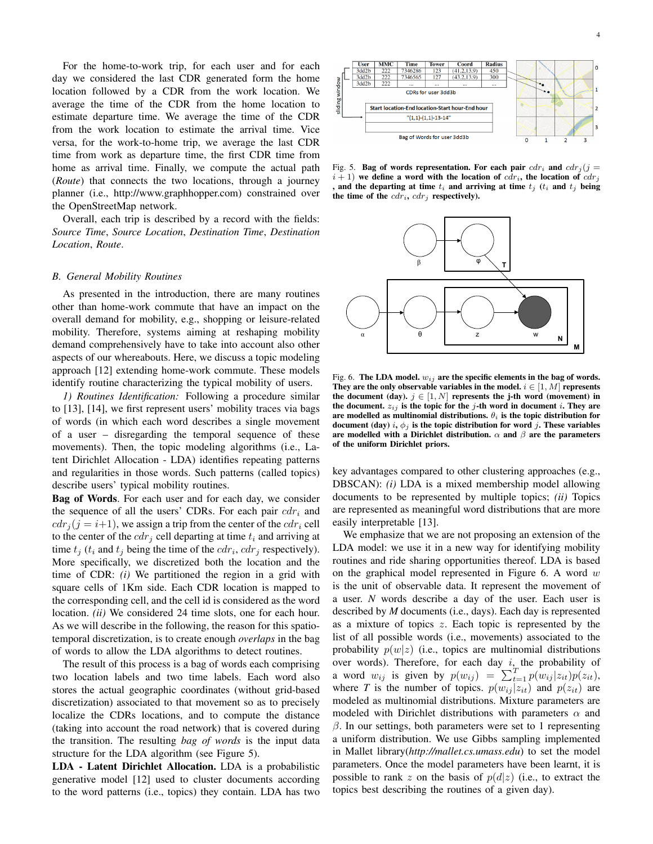For the home-to-work trip, for each user and for each day we considered the last CDR generated form the home location followed by a CDR from the work location. We average the time of the CDR from the home location to estimate departure time. We average the time of the CDR from the work location to estimate the arrival time. Vice versa, for the work-to-home trip, we average the last CDR time from work as departure time, the first CDR time from home as arrival time. Finally, we compute the actual path (*Route*) that connects the two locations, through a journey planner (i.e., http://www.graphhopper.com) constrained over the OpenStreetMap network.

Overall, each trip is described by a record with the fields: *Source Time*, *Source Location*, *Destination Time*, *Destination Location*, *Route*.

## *B. General Mobility Routines*

As presented in the introduction, there are many routines other than home-work commute that have an impact on the overall demand for mobility, e.g., shopping or leisure-related mobility. Therefore, systems aiming at reshaping mobility demand comprehensively have to take into account also other aspects of our whereabouts. Here, we discuss a topic modeling approach [12] extending home-work commute. These models identify routine characterizing the typical mobility of users.

*1) Routines Identification:* Following a procedure similar to [13], [14], we first represent users' mobility traces via bags of words (in which each word describes a single movement of a user – disregarding the temporal sequence of these movements). Then, the topic modeling algorithms (i.e., Latent Dirichlet Allocation - LDA) identifies repeating patterns and regularities in those words. Such patterns (called topics) describe users' typical mobility routines.

Bag of Words. For each user and for each day, we consider the sequence of all the users' CDRs. For each pair  $cdr<sub>i</sub>$  and  $cdr<sub>i</sub>(j = i+1)$ , we assign a trip from the center of the  $cdr<sub>i</sub>$  cell to the center of the  $cdr_i$  cell departing at time  $t_i$  and arriving at time  $t_j$  ( $t_i$  and  $t_j$  being the time of the  $cdr_i, cdr_j$  respectively). More specifically, we discretized both the location and the time of CDR: *(i)* We partitioned the region in a grid with square cells of 1Km side. Each CDR location is mapped to the corresponding cell, and the cell id is considered as the word location. *(ii)* We considered 24 time slots, one for each hour. As we will describe in the following, the reason for this spatiotemporal discretization, is to create enough *overlaps* in the bag of words to allow the LDA algorithms to detect routines.

The result of this process is a bag of words each comprising two location labels and two time labels. Each word also stores the actual geographic coordinates (without grid-based discretization) associated to that movement so as to precisely localize the CDRs locations, and to compute the distance (taking into account the road network) that is covered during the transition. The resulting *bag of words* is the input data structure for the LDA algorithm (see Figure 5).

LDA - Latent Dirichlet Allocation. LDA is a probabilistic generative model [12] used to cluster documents according to the word patterns (i.e., topics) they contain. LDA has two



Fig. 5. Bag of words representation. For each pair  $cdr<sub>i</sub>$  and  $cdr<sub>j</sub>$  (j =  $i + 1$ ) we define a word with the location of  $cdr_i$ , the location of  $cdr_i$ and the departing at time  $t_i$  and arriving at time  $t_j$  ( $t_i$  and  $t_j$  being the time of the  $cdr_i$ ,  $cdr_j$  respectively).



Fig. 6. The LDA model.  $w_{ij}$  are the specific elements in the bag of words. They are the only observable variables in the model.  $i \in [1, M]$  represents the document (day).  $j \in [1, N]$  represents the j-th word (movement) in the document.  $z_{ij}$  is the topic for the j-th word in document i. They are are modelled as multinomial distributions.  $\theta_i$  is the topic distribution for document (day) i,  $\phi_j$  is the topic distribution for word j. These variables are modelled with a Dirichlet distribution.  $\alpha$  and  $\beta$  are the parameters of the uniform Dirichlet priors.

key advantages compared to other clustering approaches (e.g., DBSCAN): *(i)* LDA is a mixed membership model allowing documents to be represented by multiple topics; *(ii)* Topics are represented as meaningful word distributions that are more easily interpretable [13].

We emphasize that we are not proposing an extension of the LDA model: we use it in a new way for identifying mobility routines and ride sharing opportunities thereof. LDA is based on the graphical model represented in Figure 6. A word  $w$ is the unit of observable data. It represent the movement of a user. *N* words describe a day of the user. Each user is described by *M* documents (i.e., days). Each day is represented as a mixture of topics z. Each topic is represented by the list of all possible words (i.e., movements) associated to the probability  $p(w|z)$  (i.e., topics are multinomial distributions over words). Therefore, for each day  $i$ , the probability of a word  $w_{ij}$  is given by  $p(w_{ij}) = \sum_{t=1}^{T} p(w_{ij} | z_{it}) p(z_{it}),$ where *T* is the number of topics.  $p(w_{ij} | z_{it})$  and  $p(z_{it})$  are modeled as multinomial distributions. Mixture parameters are modeled with Dirichlet distributions with parameters  $\alpha$  and  $\beta$ . In our settings, both parameters were set to 1 representing a uniform distribution. We use Gibbs sampling implemented in Mallet library(*http://mallet.cs.umass.edu*) to set the model parameters. Once the model parameters have been learnt, it is possible to rank z on the basis of  $p(d|z)$  (i.e., to extract the topics best describing the routines of a given day).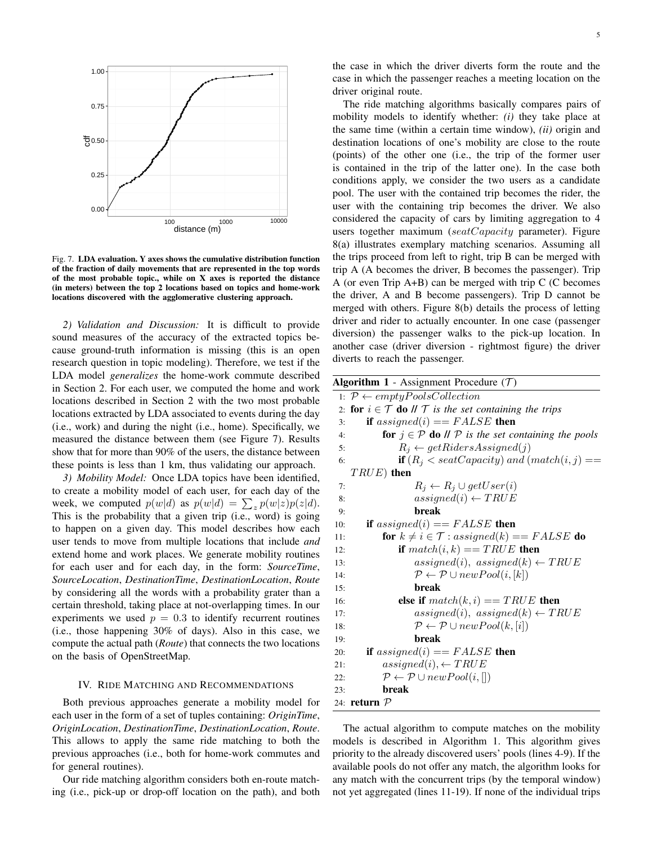

Fig. 7. LDA evaluation. Y axes shows the cumulative distribution function of the fraction of daily movements that are represented in the top words of the most probable topic., while on X axes is reported the distance (in meters) between the top 2 locations based on topics and home-work locations discovered with the agglomerative clustering approach.

*2) Validation and Discussion:* It is difficult to provide sound measures of the accuracy of the extracted topics because ground-truth information is missing (this is an open research question in topic modeling). Therefore, we test if the LDA model *generalizes* the home-work commute described in Section 2. For each user, we computed the home and work locations described in Section 2 with the two most probable locations extracted by LDA associated to events during the day (i.e., work) and during the night (i.e., home). Specifically, we measured the distance between them (see Figure 7). Results show that for more than 90% of the users, the distance between these points is less than 1 km, thus validating our approach.

*3) Mobility Model:* Once LDA topics have been identified, to create a mobility model of each user, for each day of the week, we computed  $p(w|d)$  as  $p(w|d) = \sum_{z} p(w|z)p(z|d)$ . This is the probability that a given trip (i.e., word) is going to happen on a given day. This model describes how each user tends to move from multiple locations that include *and* extend home and work places. We generate mobility routines for each user and for each day, in the form: *SourceTime*, *SourceLocation*, *DestinationTime*, *DestinationLocation*, *Route* by considering all the words with a probability grater than a certain threshold, taking place at not-overlapping times. In our experiments we used  $p = 0.3$  to identify recurrent routines (i.e., those happening 30% of days). Also in this case, we compute the actual path (*Route*) that connects the two locations on the basis of OpenStreetMap.

#### IV. RIDE MATCHING AND RECOMMENDATIONS

Both previous approaches generate a mobility model for each user in the form of a set of tuples containing: *OriginTime*, *OriginLocation*, *DestinationTime*, *DestinationLocation*, *Route*. This allows to apply the same ride matching to both the previous approaches (i.e., both for home-work commutes and for general routines).

Our ride matching algorithm considers both en-route matching (i.e., pick-up or drop-off location on the path), and both the case in which the driver diverts form the route and the case in which the passenger reaches a meeting location on the driver original route.

The ride matching algorithms basically compares pairs of mobility models to identify whether: *(i)* they take place at the same time (within a certain time window), *(ii)* origin and destination locations of one's mobility are close to the route (points) of the other one (i.e., the trip of the former user is contained in the trip of the latter one). In the case both conditions apply, we consider the two users as a candidate pool. The user with the contained trip becomes the rider, the user with the containing trip becomes the driver. We also considered the capacity of cars by limiting aggregation to 4 users together maximum (seatCapacity parameter). Figure 8(a) illustrates exemplary matching scenarios. Assuming all the trips proceed from left to right, trip B can be merged with trip A (A becomes the driver, B becomes the passenger). Trip A (or even Trip A+B) can be merged with trip C (C becomes the driver, A and B become passengers). Trip D cannot be merged with others. Figure 8(b) details the process of letting driver and rider to actually encounter. In one case (passenger diversion) the passenger walks to the pick-up location. In another case (driver diversion - rightmost figure) the driver diverts to reach the passenger.

| <b>Algorithm 1</b> - Assignment Procedure $(T)$                                                            |
|------------------------------------------------------------------------------------------------------------|
| 1: $P \leftarrow emptyPoolsCollection$                                                                     |
| <b>for</b> $i \in \mathcal{T}$ <b>do</b> $\mathcal{U}$ $\mathcal{T}$ is the set containing the trips<br>2: |
| if assigned(i) == $FALSE$ then<br>3:                                                                       |
| <b>for</b> $j \in \mathcal{P}$ <b>do</b> $\mathcal{U} \mathcal{P}$ is the set containing the pools<br>4:   |
| $R_i \leftarrow getRidersAssigned(j)$<br>5:                                                                |
| <b>if</b> $(R_i \leq seatCapacity)$ and $(match(i, j) ==$<br>6:                                            |
| $TRUE$ then                                                                                                |
| $R_i \leftarrow R_i \cup getUser(i)$<br>7:                                                                 |
| $assigned(i) \leftarrow TRUE$<br>8:                                                                        |
| <b>break</b><br>9:                                                                                         |
| if assigned(i) = $FALSE$ then<br>10:                                                                       |
| for $k \neq i \in \mathcal{T}$ : assigned(k) == FALSE do<br>11:                                            |
| if $match(i, k) == TRUE$ then<br>12:                                                                       |
| $assigned(i), assigned(k) \leftarrow TRUE$<br>13:                                                          |
| $P \leftarrow P \cup newPool(i, [k])$<br>14:                                                               |
| break<br>15:                                                                                               |
| else if $match(k, i) == TRUE$ then<br>16:                                                                  |
| $assigned(i), assigned(k) \leftarrow TRUE$<br>17:                                                          |
| $P \leftarrow P \cup newPool(k, [i])$<br>18:                                                               |
| break<br>19:                                                                                               |
| if assigned(i) = $FALSE$ then<br>20:                                                                       |
| $assigned(i), \leftarrow TRUE$<br>21:                                                                      |
| $P \leftarrow P \cup newPool(i, [])$<br>22:                                                                |
| break<br>23:                                                                                               |
| 24: <b>return</b> $\mathcal{P}$                                                                            |

The actual algorithm to compute matches on the mobility models is described in Algorithm 1. This algorithm gives priority to the already discovered users' pools (lines 4-9). If the available pools do not offer any match, the algorithm looks for any match with the concurrent trips (by the temporal window) not yet aggregated (lines 11-19). If none of the individual trips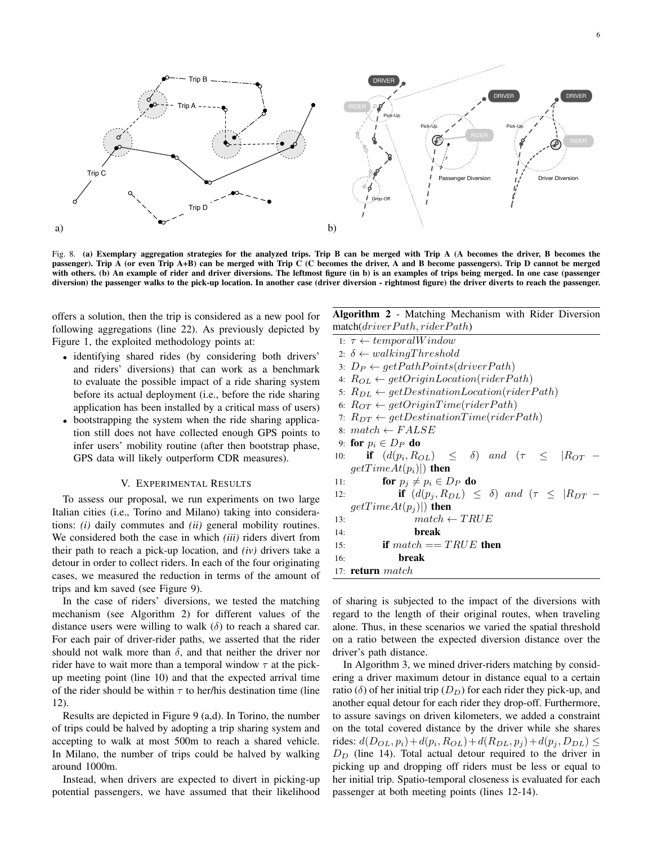

Fig. 8. (a) Exemplary aggregation strategies for the analyzed trips. Trip B can be merged with Trip A (A becomes the driver, B becomes the passenger). Trip A (or even Trip A+B) can be merged with Trip C (C becomes the driver, A and B become passengers). Trip D cannot be merged with others. (b) An example of rider and driver diversions. The leftmost figure (in b) is an examples of trips being merged. In one case (passenger diversion) the passenger walks to the pick-up location. In another case (driver diversion - rightmost figure) the driver diverts to reach the passenger.

offers a solution, then the trip is considered as a new pool for following aggregations (line 22). As previously depicted by Figure 1, the exploited methodology points at:

- identifying shared rides (by considering both drivers' and riders' diversions) that can work as a benchmark to evaluate the possible impact of a ride sharing system before its actual deployment (i.e., before the ride sharing application has been installed by a critical mass of users)
- bootstrapping the system when the ride sharing application still does not have collected enough GPS points to infer users' mobility routine (after then bootstrap phase, GPS data will likely outperform CDR measures).

#### V. EXPERIMENTAL RESULTS

To assess our proposal, we run experiments on two large Italian cities (i.e., Torino and Milano) taking into considerations: *(i)* daily commutes and *(ii)* general mobility routines. We considered both the case in which *(iii)* riders divert from their path to reach a pick-up location, and *(iv)* drivers take a detour in order to collect riders. In each of the four originating cases, we measured the reduction in terms of the amount of trips and km saved (see Figure 9).

In the case of riders' diversions, we tested the matching mechanism (see Algorithm 2) for different values of the distance users were willing to walk  $(\delta)$  to reach a shared car. For each pair of driver-rider paths, we asserted that the rider should not walk more than  $\delta$ , and that neither the driver nor rider have to wait more than a temporal window  $\tau$  at the pickup meeting point (line 10) and that the expected arrival time of the rider should be within  $\tau$  to her/his destination time (line 12).

Results are depicted in Figure 9 (a,d). In Torino, the number of trips could be halved by adopting a trip sharing system and accepting to walk at most 500m to reach a shared vehicle. In Milano, the number of trips could be halved by walking around 1000m.

Instead, when drivers are expected to divert in picking-up potential passengers, we have assumed that their likelihood

|                              |  | <b>Algorithm 2</b> - Matching Mechanism with Rider Diversion |  |  |
|------------------------------|--|--------------------------------------------------------------|--|--|
| match(driverPath, riderPath) |  |                                                              |  |  |

|     | 1: $\tau \leftarrow temporalWindow$                                |
|-----|--------------------------------------------------------------------|
|     | 2: $\delta \leftarrow walkingThreshold$                            |
|     | 3: $D_P \leftarrow getPathPoints(driverPath)$                      |
|     | 4: $R_{OL} \leftarrow getOriginalLocation(riderPath)$              |
|     | 5: $R_{DL} \leftarrow getDestinationLocation(riderPath)$           |
|     | 6: $R_{OT} \leftarrow getOriginalTime(riderPath)$                  |
|     | 7: $R_{DT} \leftarrow getDestinationTime(riderPath)$               |
|     | 8: $match \leftarrow FALSE$                                        |
|     | 9: for $p_i \in D_P$ do                                            |
| 10: | <b>if</b> $(d(p_i, R_{OL}) \leq \delta)$ and $(\tau \leq  R_{OT})$ |
|     | $getTimeAt(p_i) $ then                                             |
| 11: | for $p_j \neq p_i \in D_P$ do                                      |
| 12: | if $(d(p_i, R_{DL}) \leq \delta)$ and $(\tau \leq  R_{DT} -$       |
|     | $getTimeAt(p_i) $ then                                             |
| 13: | $match \leftarrow TRUE$                                            |
| 14: | break                                                              |
| 15: | if $match == TRUE$ then                                            |
| 16: | break                                                              |
|     | 17: <b>return</b> $match$                                          |
|     |                                                                    |

of sharing is subjected to the impact of the diversions with regard to the length of their original routes, when traveling alone. Thus, in these scenarios we varied the spatial threshold on a ratio between the expected diversion distance over the driver's path distance.

In Algorithm 3, we mined driver-riders matching by considering a driver maximum detour in distance equal to a certain ratio ( $\delta$ ) of her initial trip ( $D<sub>D</sub>$ ) for each rider they pick-up, and another equal detour for each rider they drop-off. Furthermore, to assure savings on driven kilometers, we added a constraint on the total covered distance by the driver while she shares rides:  $d(D_{OL}, p_i) + d(p_i, R_{OL}) + d(R_{DL}, p_j) + d(p_j, D_{DL}) \le$  $D<sub>D</sub>$  (line 14). Total actual detour required to the driver in picking up and dropping off riders must be less or equal to her initial trip. Spatio-temporal closeness is evaluated for each passenger at both meeting points (lines 12-14).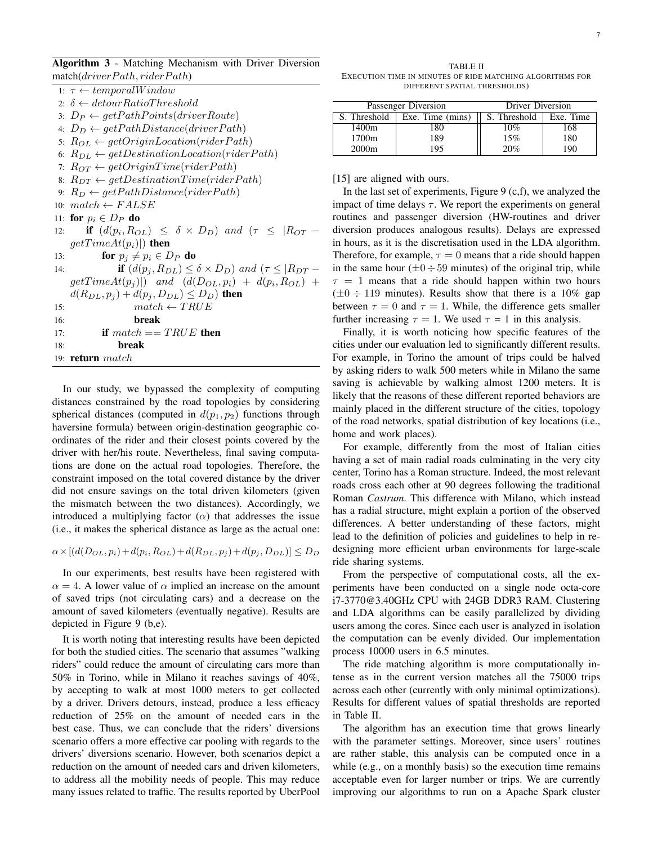Algorithm 3 - Matching Mechanism with Driver Diversion  $match(driverPath, riderPath)$ 

|     | maxmax                                                                         |
|-----|--------------------------------------------------------------------------------|
|     | 1: $\tau \leftarrow temporalWindow$                                            |
|     | 2: $\delta \leftarrow detourRatioThreshold$                                    |
|     | $3: D_P \leftarrow getPathPoints(driver Route)$                                |
|     | 4: $D_D \leftarrow getPathDistance(driverPath)$                                |
|     | 5: $R_{OL} \leftarrow getOriginalLocation(riderPath)$                          |
|     | 6: $R_{DL} \leftarrow getDestinationLocation(riderPath)$                       |
|     | 7: $R_{OT} \leftarrow getOriginTime(riderPath)$                                |
|     | 8: $R_{DT} \leftarrow getDestinationTime(riderPath)$                           |
|     | 9: $R_D \leftarrow getPathDistance(riderPath)$                                 |
|     | 10: $match \leftarrow FALSE$                                                   |
|     | 11: for $p_i \in D_P$ do                                                       |
|     | if $(d(p_i, R_{OL}) \leq \delta \times D_D)$ and $(\tau \leq  R_{OT} -$<br>12: |
|     | $getTimeAt(p_i) $ then                                                         |
| 13: | for $p_i \neq p_i \in D_P$ do                                                  |
| 14: | if $(d(p_i, R_{DL}) \leq \delta \times D_D)$ and $(\tau \leq  R_{DT} -$        |
|     | $getTimeAt(p_i))$ and $(d(D_{OL}, p_i) + d(p_i, R_{OL}) +$                     |
|     | $d(R_{DL}, p_i) + d(p_i, D_{DL}) \le D_D$ ) then                               |
| 15: | $match \leftarrow TRUE$                                                        |
| 16: | break                                                                          |
| 17: | if $match == TRUE$ then                                                        |
| 18: | break                                                                          |
|     | 19: <b>return</b> $match$                                                      |

In our study, we bypassed the complexity of computing distances constrained by the road topologies by considering spherical distances (computed in  $d(p_1, p_2)$  functions through haversine formula) between origin-destination geographic coordinates of the rider and their closest points covered by the driver with her/his route. Nevertheless, final saving computations are done on the actual road topologies. Therefore, the constraint imposed on the total covered distance by the driver did not ensure savings on the total driven kilometers (given the mismatch between the two distances). Accordingly, we introduced a multiplying factor  $(\alpha)$  that addresses the issue (i.e., it makes the spherical distance as large as the actual one:

 $\alpha \times [(d(D_{OL}, p_i)+d(p_i, R_{OL})+d(R_{DL}, p_j)+d(p_j, D_{DL})] \leq D_D$ 

In our experiments, best results have been registered with  $\alpha = 4$ . A lower value of  $\alpha$  implied an increase on the amount of saved trips (not circulating cars) and a decrease on the amount of saved kilometers (eventually negative). Results are depicted in Figure 9 (b,e).

It is worth noting that interesting results have been depicted for both the studied cities. The scenario that assumes "walking riders" could reduce the amount of circulating cars more than 50% in Torino, while in Milano it reaches savings of 40%, by accepting to walk at most 1000 meters to get collected by a driver. Drivers detours, instead, produce a less efficacy reduction of 25% on the amount of needed cars in the best case. Thus, we can conclude that the riders' diversions scenario offers a more effective car pooling with regards to the drivers' diversions scenario. However, both scenarios depict a reduction on the amount of needed cars and driven kilometers, to address all the mobility needs of people. This may reduce many issues related to traffic. The results reported by UberPool

TABLE II EXECUTION TIME IN MINUTES OF RIDE MATCHING ALGORITHMS FOR DIFFERENT SPATIAL THRESHOLDS)

|                   | Passenger Diversion | Driver Diversion |           |  |
|-------------------|---------------------|------------------|-----------|--|
| S. Threshold      | Exe. Time (mins)    | S. Threshold     | Exe. Time |  |
| 1400m             | 180                 | 10%              | 168       |  |
| 1700m             | 189                 | 15%              | 180       |  |
| 2000 <sub>m</sub> | 195                 | 20%              | 190       |  |

[15] are aligned with ours.

In the last set of experiments, Figure 9  $(c, f)$ , we analyzed the impact of time delays  $\tau$ . We report the experiments on general routines and passenger diversion (HW-routines and driver diversion produces analogous results). Delays are expressed in hours, as it is the discretisation used in the LDA algorithm. Therefore, for example,  $\tau = 0$  means that a ride should happen in the same hour ( $\pm 0 \div 59$  minutes) of the original trip, while  $\tau = 1$  means that a ride should happen within two hours  $(\pm 0 \div 119 \text{ minutes})$ . Results show that there is a 10% gap between  $\tau = 0$  and  $\tau = 1$ . While, the difference gets smaller further increasing  $\tau = 1$ . We used  $\tau = 1$  in this analysis.

Finally, it is worth noticing how specific features of the cities under our evaluation led to significantly different results. For example, in Torino the amount of trips could be halved by asking riders to walk 500 meters while in Milano the same saving is achievable by walking almost 1200 meters. It is likely that the reasons of these different reported behaviors are mainly placed in the different structure of the cities, topology of the road networks, spatial distribution of key locations (i.e., home and work places).

For example, differently from the most of Italian cities having a set of main radial roads culminating in the very city center, Torino has a Roman structure. Indeed, the most relevant roads cross each other at 90 degrees following the traditional Roman *Castrum*. This difference with Milano, which instead has a radial structure, might explain a portion of the observed differences. A better understanding of these factors, might lead to the definition of policies and guidelines to help in redesigning more efficient urban environments for large-scale ride sharing systems.

From the perspective of computational costs, all the experiments have been conducted on a single node octa-core i7-3770@3.40GHz CPU with 24GB DDR3 RAM. Clustering and LDA algorithms can be easily parallelized by dividing users among the cores. Since each user is analyzed in isolation the computation can be evenly divided. Our implementation process 10000 users in 6.5 minutes.

The ride matching algorithm is more computationally intense as in the current version matches all the 75000 trips across each other (currently with only minimal optimizations). Results for different values of spatial thresholds are reported in Table II.

The algorithm has an execution time that grows linearly with the parameter settings. Moreover, since users' routines are rather stable, this analysis can be computed once in a while (e.g., on a monthly basis) so the execution time remains acceptable even for larger number or trips. We are currently improving our algorithms to run on a Apache Spark cluster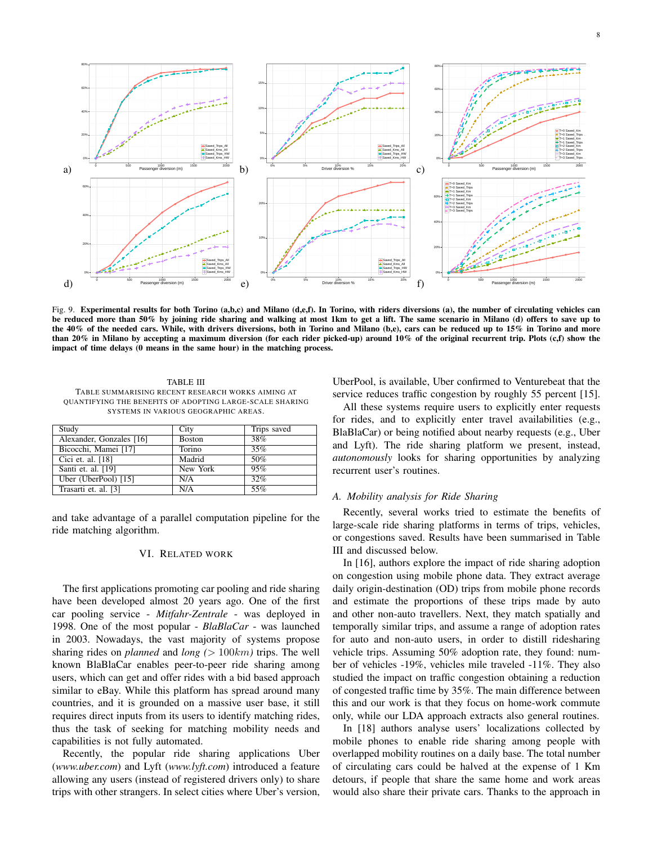

Fig. 9. Experimental results for both Torino (a,b,c) and Milano (d,e,f). In Torino, with riders diversions (a), the number of circulating vehicles can be reduced more than 50% by joining ride sharing and walking at most 1km to get a lift. The same scenario in Milano (d) offers to save up to the 40% of the needed cars. While, with drivers diversions, both in Torino and Milano (b,e), cars can be reduced up to 15% in Torino and more than 20% in Milano by accepting a maximum diversion (for each rider picked-up) around 10% of the original recurrent trip. Plots (c,f) show the impact of time delays (0 means in the same hour) in the matching process.

TABLE III TABLE SUMMARISING RECENT RESEARCH WORKS AIMING AT QUANTIFYING THE BENEFITS OF ADOPTING LARGE-SCALE SHARING SYSTEMS IN VARIOUS GEOGRAPHIC AREAS.

| Study                    | City          | Trips saved |
|--------------------------|---------------|-------------|
| Alexander, Gonzales [16] | <b>Boston</b> | 38%         |
| Bicocchi, Mamei [17]     | Torino        | 35%         |
| Cici et. al. [18]        | Madrid        | 50%         |
| Santi et. al. [19]       | New York      | 95%         |
| Uber (UberPool) $[15]$   | N/A           | 32%         |
| Trasarti et. al. [3]     | N/A           | 55%         |

and take advantage of a parallel computation pipeline for the ride matching algorithm.

## VI. RELATED WORK

The first applications promoting car pooling and ride sharing have been developed almost 20 years ago. One of the first car pooling service - *Mitfahr-Zentrale* - was deployed in 1998. One of the most popular - *BlaBlaCar* - was launched in 2003. Nowadays, the vast majority of systems propose sharing rides on *planned* and *long (*> 100km*)* trips. The well known BlaBlaCar enables peer-to-peer ride sharing among users, which can get and offer rides with a bid based approach similar to eBay. While this platform has spread around many countries, and it is grounded on a massive user base, it still requires direct inputs from its users to identify matching rides, thus the task of seeking for matching mobility needs and capabilities is not fully automated.

Recently, the popular ride sharing applications Uber (*www.uber.com*) and Lyft (*www.lyft.com*) introduced a feature allowing any users (instead of registered drivers only) to share trips with other strangers. In select cities where Uber's version,

UberPool, is available, Uber confirmed to Venturebeat that the service reduces traffic congestion by roughly 55 percent [15].

All these systems require users to explicitly enter requests for rides, and to explicitly enter travel availabilities (e.g., BlaBlaCar) or being notified about nearby requests (e.g., Uber and Lyft). The ride sharing platform we present, instead, *autonomously* looks for sharing opportunities by analyzing recurrent user's routines.

### *A. Mobility analysis for Ride Sharing*

Recently, several works tried to estimate the benefits of large-scale ride sharing platforms in terms of trips, vehicles, or congestions saved. Results have been summarised in Table III and discussed below.

In [16], authors explore the impact of ride sharing adoption on congestion using mobile phone data. They extract average daily origin-destination (OD) trips from mobile phone records and estimate the proportions of these trips made by auto and other non-auto travellers. Next, they match spatially and temporally similar trips, and assume a range of adoption rates for auto and non-auto users, in order to distill ridesharing vehicle trips. Assuming 50% adoption rate, they found: number of vehicles -19%, vehicles mile traveled -11%. They also studied the impact on traffic congestion obtaining a reduction of congested traffic time by 35%. The main difference between this and our work is that they focus on home-work commute only, while our LDA approach extracts also general routines.

In [18] authors analyse users' localizations collected by mobile phones to enable ride sharing among people with overlapped mobility routines on a daily base. The total number of circulating cars could be halved at the expense of 1 Km detours, if people that share the same home and work areas would also share their private cars. Thanks to the approach in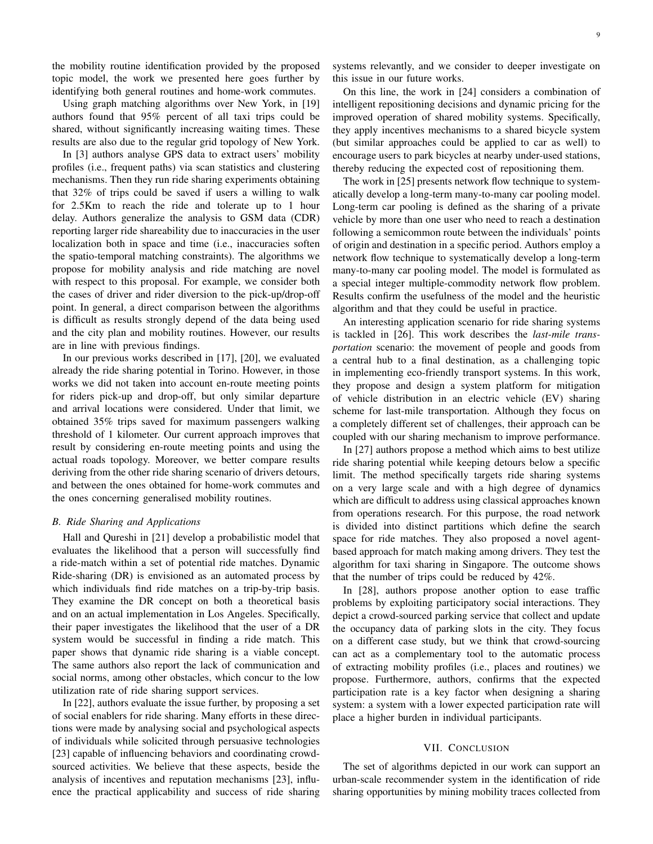the mobility routine identification provided by the proposed topic model, the work we presented here goes further by identifying both general routines and home-work commutes.

Using graph matching algorithms over New York, in [19] authors found that 95% percent of all taxi trips could be shared, without significantly increasing waiting times. These results are also due to the regular grid topology of New York.

In [3] authors analyse GPS data to extract users' mobility profiles (i.e., frequent paths) via scan statistics and clustering mechanisms. Then they run ride sharing experiments obtaining that 32% of trips could be saved if users a willing to walk for 2.5Km to reach the ride and tolerate up to 1 hour delay. Authors generalize the analysis to GSM data (CDR) reporting larger ride shareability due to inaccuracies in the user localization both in space and time (i.e., inaccuracies soften the spatio-temporal matching constraints). The algorithms we propose for mobility analysis and ride matching are novel with respect to this proposal. For example, we consider both the cases of driver and rider diversion to the pick-up/drop-off point. In general, a direct comparison between the algorithms is difficult as results strongly depend of the data being used and the city plan and mobility routines. However, our results are in line with previous findings.

In our previous works described in [17], [20], we evaluated already the ride sharing potential in Torino. However, in those works we did not taken into account en-route meeting points for riders pick-up and drop-off, but only similar departure and arrival locations were considered. Under that limit, we obtained 35% trips saved for maximum passengers walking threshold of 1 kilometer. Our current approach improves that result by considering en-route meeting points and using the actual roads topology. Moreover, we better compare results deriving from the other ride sharing scenario of drivers detours, and between the ones obtained for home-work commutes and the ones concerning generalised mobility routines.

#### *B. Ride Sharing and Applications*

Hall and Qureshi in [21] develop a probabilistic model that evaluates the likelihood that a person will successfully find a ride-match within a set of potential ride matches. Dynamic Ride-sharing (DR) is envisioned as an automated process by which individuals find ride matches on a trip-by-trip basis. They examine the DR concept on both a theoretical basis and on an actual implementation in Los Angeles. Specifically, their paper investigates the likelihood that the user of a DR system would be successful in finding a ride match. This paper shows that dynamic ride sharing is a viable concept. The same authors also report the lack of communication and social norms, among other obstacles, which concur to the low utilization rate of ride sharing support services.

In [22], authors evaluate the issue further, by proposing a set of social enablers for ride sharing. Many efforts in these directions were made by analysing social and psychological aspects of individuals while solicited through persuasive technologies [23] capable of influencing behaviors and coordinating crowdsourced activities. We believe that these aspects, beside the analysis of incentives and reputation mechanisms [23], influence the practical applicability and success of ride sharing systems relevantly, and we consider to deeper investigate on this issue in our future works.

On this line, the work in [24] considers a combination of intelligent repositioning decisions and dynamic pricing for the improved operation of shared mobility systems. Specifically, they apply incentives mechanisms to a shared bicycle system (but similar approaches could be applied to car as well) to encourage users to park bicycles at nearby under-used stations, thereby reducing the expected cost of repositioning them.

The work in [25] presents network flow technique to systematically develop a long-term many-to-many car pooling model. Long-term car pooling is defined as the sharing of a private vehicle by more than one user who need to reach a destination following a semicommon route between the individuals' points of origin and destination in a specific period. Authors employ a network flow technique to systematically develop a long-term many-to-many car pooling model. The model is formulated as a special integer multiple-commodity network flow problem. Results confirm the usefulness of the model and the heuristic algorithm and that they could be useful in practice.

An interesting application scenario for ride sharing systems is tackled in [26]. This work describes the *last-mile transportation* scenario: the movement of people and goods from a central hub to a final destination, as a challenging topic in implementing eco-friendly transport systems. In this work, they propose and design a system platform for mitigation of vehicle distribution in an electric vehicle (EV) sharing scheme for last-mile transportation. Although they focus on a completely different set of challenges, their approach can be coupled with our sharing mechanism to improve performance.

In [27] authors propose a method which aims to best utilize ride sharing potential while keeping detours below a specific limit. The method specifically targets ride sharing systems on a very large scale and with a high degree of dynamics which are difficult to address using classical approaches known from operations research. For this purpose, the road network is divided into distinct partitions which define the search space for ride matches. They also proposed a novel agentbased approach for match making among drivers. They test the algorithm for taxi sharing in Singapore. The outcome shows that the number of trips could be reduced by 42%.

In [28], authors propose another option to ease traffic problems by exploiting participatory social interactions. They depict a crowd-sourced parking service that collect and update the occupancy data of parking slots in the city. They focus on a different case study, but we think that crowd-sourcing can act as a complementary tool to the automatic process of extracting mobility profiles (i.e., places and routines) we propose. Furthermore, authors, confirms that the expected participation rate is a key factor when designing a sharing system: a system with a lower expected participation rate will place a higher burden in individual participants.

## VII. CONCLUSION

The set of algorithms depicted in our work can support an urban-scale recommender system in the identification of ride sharing opportunities by mining mobility traces collected from